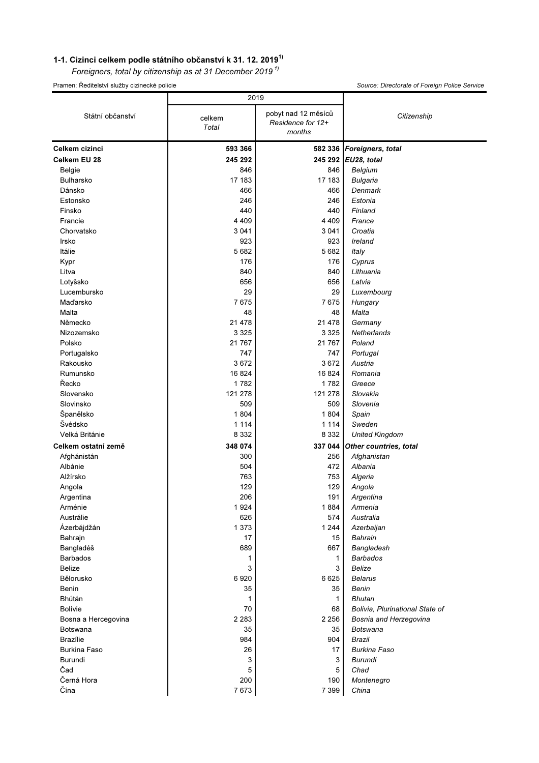## 1-1. Cizinci celkem podle státního občanství k 31. 12. 2019 $^{1}$

Foreigners, total by citizenship as at 31 December 2019 $^{1}$ 

Pramen: Ředitelství služby cizinecké policie Source: Directorate of Foreign Police Service

|                     | 2019            |                                                    |                                 |  |
|---------------------|-----------------|----------------------------------------------------|---------------------------------|--|
| Státní občanství    | celkem<br>Total | pobyt nad 12 měsíců<br>Residence for 12+<br>months | Citizenship                     |  |
| Celkem cizinci      | 593 366         |                                                    | 582 336 Foreigners, total       |  |
| Celkem EU 28        | 245 292         |                                                    | 245 292 EU28, total             |  |
| Belgie              | 846             | 846                                                | Belgium                         |  |
| <b>Bulharsko</b>    | 17 183          | 17 183                                             | <b>Bulgaria</b>                 |  |
| Dánsko              | 466             | 466                                                | Denmark                         |  |
| Estonsko            | 246             | 246                                                | Estonia                         |  |
| Finsko              | 440             | 440                                                | Finland                         |  |
| Francie             | 4 4 0 9         | 4 4 0 9                                            | France                          |  |
| Chorvatsko          | 3 0 4 1         | 3 0 4 1                                            | Croatia                         |  |
| Irsko               | 923             | 923                                                | Ireland                         |  |
| Itálie              | 5 6 8 2         | 5682                                               | <b>Italy</b>                    |  |
| Kypr                | 176             | 176                                                | Cyprus                          |  |
| Litva               | 840             | 840                                                | Lithuania                       |  |
| Lotyšsko            | 656             | 656                                                | Latvia                          |  |
| Lucembursko         | 29              | 29                                                 | Luxembourg                      |  |
| Maďarsko            | 7675            | 7675                                               | Hungary                         |  |
| Malta               | 48              | 48                                                 | Malta                           |  |
| Německo             | 21 478          | 21 4 78                                            | Germany                         |  |
| Nizozemsko          | 3 3 2 5         | 3 3 2 5                                            | Netherlands                     |  |
| Polsko              | 21 767          | 21 7 6 7                                           | Poland                          |  |
| Portugalsko         | 747             | 747                                                | Portugal                        |  |
| Rakousko            | 3672            | 3672                                               | Austria                         |  |
| Rumunsko            | 16 824          | 16824                                              | Romania                         |  |
| Řecko               | 1782            | 1782                                               | Greece                          |  |
| Slovensko           | 121 278         | 121 278                                            | Slovakia                        |  |
| Slovinsko           | 509             | 509                                                | Slovenia                        |  |
| Španělsko           | 1 804           | 1804                                               | Spain                           |  |
| Švédsko             | 1 1 1 4         | 1 1 1 4                                            | Sweden                          |  |
| Velká Británie      | 8 3 3 2         | 8 3 3 2                                            | <b>United Kingdom</b>           |  |
| Celkem ostatní země | 348 074         | 337 044                                            | Other countries, total          |  |
| Afghánistán         | 300             | 256                                                | Afghanistan                     |  |
| Albánie             | 504             | 472                                                | Albania                         |  |
| Alžírsko            | 763             | 753                                                | Algeria                         |  |
| Angola              | 129             | 129                                                | Angola                          |  |
| Argentina           | 206             | 191                                                | Argentina                       |  |
| Arménie             | 1924            | 1884                                               | Armenia                         |  |
| Austrálie           | 626             | 574                                                | Australia                       |  |
| Ázerbájdžán         | 1 3 7 3         | 1 2 4 4                                            | Azerbaijan                      |  |
| Bahrajn             | 17              | 15                                                 | Bahrain                         |  |
| Bangladéš           | 689             | 667                                                | Bangladesh                      |  |
| <b>Barbados</b>     | 1               | 1                                                  | <b>Barbados</b>                 |  |
| Belize              | 3               | 3                                                  | Belize                          |  |
| Bělorusko           | 6920            | 6625                                               | <b>Belarus</b>                  |  |
| Benin               | 35              | 35                                                 | <b>Benin</b>                    |  |
| Bhútán              | 1               | 1                                                  | Bhutan                          |  |
| <b>Bolívie</b>      | 70              | 68                                                 | Bolivia, Plurinational State of |  |
| Bosna a Hercegovina | 2 2 8 3         | 2 2 5 6                                            | Bosnia and Herzegovina          |  |
| Botswana            | 35              | 35                                                 | Botswana                        |  |
| <b>Brazílie</b>     | 984             | 904                                                | Brazil                          |  |
| <b>Burkina Faso</b> | 26              | 17                                                 | Burkina Faso                    |  |
| Burundi             | 3               | 3                                                  | <b>Burundi</b>                  |  |
| Čad                 | 5               | 5                                                  | Chad                            |  |
| Černá Hora          | 200             | 190                                                | Montenegro                      |  |
| Čína                | 7673            | 7 3 9 9                                            | China                           |  |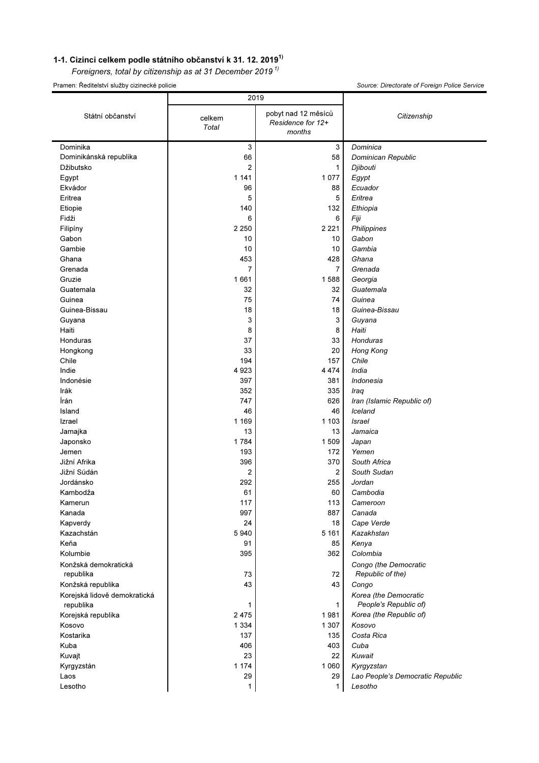## 1-1. Cizinci celkem podle státního občanství k 31. 12. 2019<sup>1)</sup>

Foreigners, total by citizenship as at 31 December 2019 $^{1}$ 

Pramen: Ředitelství služby cizinecké policie

|  | Source: Directorate of Foreign Police Service |  |  |  |
|--|-----------------------------------------------|--|--|--|
|--|-----------------------------------------------|--|--|--|

|                                           | 2019                   |                                                    |                                                |  |
|-------------------------------------------|------------------------|----------------------------------------------------|------------------------------------------------|--|
| Státní občanství                          | celkem<br><b>Total</b> | pobyt nad 12 měsíců<br>Residence for 12+<br>months | Citizenship                                    |  |
| Dominika                                  | 3                      | 3                                                  | Dominica                                       |  |
| Dominikánská republika                    | 66                     | 58                                                 | Dominican Republic                             |  |
| Džibutsko                                 | $\overline{2}$         | 1                                                  | Djibouti                                       |  |
| Egypt                                     | 1 141                  | 1077                                               | Egypt                                          |  |
| Ekvádor                                   | 96                     | 88                                                 | Ecuador                                        |  |
| Eritrea                                   | 5                      | 5                                                  | Eritrea                                        |  |
| Etiopie                                   | 140                    | 132                                                | Ethiopia                                       |  |
| Fidži                                     | 6                      | 6                                                  | Fiji                                           |  |
| Filipíny                                  | 2 2 5 0                | 2 2 2 1                                            | Philippines                                    |  |
| Gabon                                     | 10                     | 10                                                 | Gabon                                          |  |
| Gambie                                    | 10                     | 10                                                 | Gambia                                         |  |
| Ghana                                     | 453                    | 428                                                | Ghana                                          |  |
| Grenada                                   | $\overline{7}$         | $\overline{7}$                                     | Grenada                                        |  |
| Gruzie                                    | 1661                   | 1588                                               | Georgia                                        |  |
| Guatemala                                 | 32                     | 32                                                 | Guatemala                                      |  |
| Guinea                                    | 75                     | 74                                                 | Guinea                                         |  |
| Guinea-Bissau                             | 18                     | 18                                                 | Guinea-Bissau                                  |  |
| Guyana                                    | 3                      | 3                                                  | Guyana                                         |  |
| Haiti                                     | 8                      | 8                                                  | Haiti                                          |  |
| Honduras                                  | 37                     | 33                                                 | Honduras                                       |  |
| Hongkong                                  | 33                     | 20                                                 | Hong Kong                                      |  |
| Chile                                     | 194                    | 157                                                | Chile                                          |  |
| Indie                                     | 4 9 2 3                | 4 4 7 4                                            | India                                          |  |
| Indonésie                                 | 397                    | 381                                                | Indonesia                                      |  |
| Irák                                      | 352                    | 335                                                | Iraq                                           |  |
| Írán                                      | 747                    | 626                                                | Iran (Islamic Republic of)                     |  |
| Island                                    | 46                     | 46                                                 | Iceland                                        |  |
| Izrael                                    | 1 1 6 9                | 1 1 0 3                                            | <b>Israel</b>                                  |  |
| Jamajka                                   | 13                     | 13                                                 | Jamaica                                        |  |
| Japonsko                                  | 1784                   | 1 509                                              | Japan                                          |  |
| Jemen                                     | 193                    | 172                                                | Yemen                                          |  |
| Jižní Afrika                              | 396                    | 370                                                | South Africa                                   |  |
| Jižní Súdán                               | 2                      | $\overline{2}$                                     | South Sudan                                    |  |
| Jordánsko                                 | 292                    | 255                                                | Jordan                                         |  |
| Kambodža                                  | 61                     | 60                                                 | Cambodia                                       |  |
| Kamerun                                   | 117                    | 113                                                | Cameroon                                       |  |
| Kanada                                    | 997                    | 887                                                | Canada                                         |  |
|                                           | 24                     | 18                                                 | Cape Verde                                     |  |
| Kapverdy<br>Kazachstán                    | 5 9 4 0                | 5 1 6 1                                            | Kazakhstan                                     |  |
|                                           |                        |                                                    |                                                |  |
| Keňa                                      | 91                     | 85                                                 | Kenya                                          |  |
| Kolumbie                                  | 395                    | 362                                                | Colombia                                       |  |
| Konžská demokratická                      |                        |                                                    | Congo (the Democratic                          |  |
| republika                                 | 73                     | 72                                                 | Republic of the)                               |  |
| Konžská republika                         | 43                     | 43                                                 | Congo                                          |  |
| Korejská lidově demokratická<br>republika | 1                      | 1                                                  | Korea (the Democratic<br>People's Republic of) |  |
| Korejská republika                        | 2 4 7 5                | 1981                                               | Korea (the Republic of)                        |  |
| Kosovo                                    | 1 3 3 4                | 1 307                                              | Kosovo                                         |  |
| Kostarika                                 | 137                    | 135                                                | Costa Rica                                     |  |
| Kuba                                      | 406                    | 403                                                | Cuba                                           |  |
| Kuvajt                                    | 23                     | 22                                                 | Kuwait                                         |  |
| Kyrgyzstán                                | 1 1 7 4                | 1 0 6 0                                            | Kyrgyzstan                                     |  |
| Laos                                      | 29                     | 29                                                 | Lao People's Democratic Republic               |  |
| Lesotho                                   | 1                      | 1                                                  | Lesotho                                        |  |
|                                           |                        |                                                    |                                                |  |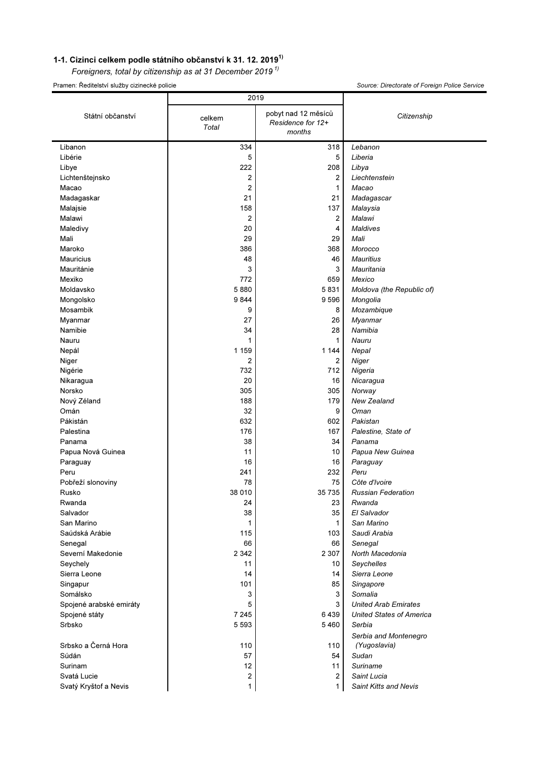## 1-1. Cizinci celkem podle státního občanství k 31. 12. 2019<sup>1)</sup>

Foreigners, total by citizenship as at 31 December 2019 $^{1}$ 

Pramen: Ředitelství služby cizinecké policie Source: Directorate of Foreign Police Service

|                         | 2019                   |                                                    |                                 |  |
|-------------------------|------------------------|----------------------------------------------------|---------------------------------|--|
| Státní občanství        | celkem<br><b>Total</b> | pobyt nad 12 měsíců<br>Residence for 12+<br>months | Citizenship                     |  |
| Libanon                 | 334                    | 318                                                | Lebanon                         |  |
| Libérie                 | 5                      | 5                                                  | Liberia                         |  |
| Libye                   | 222                    | 208                                                | Libya                           |  |
| Lichtenštejnsko         | 2                      | 2                                                  | Liechtenstein                   |  |
| Macao                   | $\overline{2}$         | 1                                                  | Macao                           |  |
| Madagaskar              | 21                     | 21                                                 | Madagascar                      |  |
| Malajsie                | 158                    | 137                                                | Malaysia                        |  |
| Malawi                  | 2                      | 2                                                  | Malawi                          |  |
| Maledivy                | 20                     | 4                                                  | <b>Maldives</b>                 |  |
| Mali                    | 29                     | 29                                                 | Mali                            |  |
| Maroko                  | 386                    | 368                                                | Morocco                         |  |
| <b>Mauricius</b>        | 48                     | 46                                                 | <b>Mauritius</b>                |  |
| Mauritánie              | 3                      | 3                                                  | Mauritania                      |  |
| Mexiko                  | 772                    | 659                                                | Mexico                          |  |
| Moldavsko               | 5880                   | 5831                                               | Moldova (the Republic of)       |  |
| Mongolsko               | 9844                   | 9596                                               | Mongolia                        |  |
| Mosambik                | 9                      | 8                                                  | Mozambique                      |  |
| Myanmar                 | 27                     | 26                                                 | Myanmar                         |  |
| Namibie                 | 34                     | 28                                                 | Namibia                         |  |
| Nauru                   | 1                      | 1                                                  | Nauru                           |  |
| Nepál                   | 1 1 5 9                | 1 1 4 4                                            | Nepal                           |  |
| Niger                   | 2                      | 2                                                  | Niger                           |  |
|                         | 732                    | 712                                                |                                 |  |
| Nigérie                 | 20                     |                                                    | Nigeria                         |  |
| Nikaragua               | 305                    | 16<br>305                                          | Nicaragua                       |  |
| Norsko                  |                        |                                                    | Norway                          |  |
| Nový Zéland             | 188                    | 179                                                | New Zealand                     |  |
| Omán                    | 32                     | 9                                                  | Oman                            |  |
| Pákistán                | 632                    | 602                                                | Pakistan                        |  |
| Palestina               | 176                    | 167                                                | Palestine, State of             |  |
| Panama                  | 38                     | 34                                                 | Panama                          |  |
| Papua Nová Guinea       | 11                     | 10                                                 | Papua New Guinea                |  |
| Paraguay                | 16                     | 16                                                 | Paraguay                        |  |
| Peru                    | 241                    | 232                                                | Peru                            |  |
| Pobřeží slonoviny       | 78                     | 75                                                 | Côte d'Ivoire                   |  |
| Rusko                   | 38 010                 | 35 7 35                                            | <b>Russian Federation</b>       |  |
| Rwanda                  | 24                     | 23                                                 | Rwanda                          |  |
| Salvador                | 38                     | 35                                                 | El Salvador                     |  |
| San Marino              | 1                      | 1                                                  | San Marino                      |  |
| Saúdská Arábie          | 115                    | 103                                                | Saudi Arabia                    |  |
| Senegal                 | 66                     | 66                                                 | Senegal                         |  |
| Severní Makedonie       | 2 3 4 2                | 2 3 0 7                                            | North Macedonia                 |  |
| Seychely                | 11                     | 10                                                 | Seychelles                      |  |
| Sierra Leone            | 14                     | 14                                                 | Sierra Leone                    |  |
| Singapur                | 101                    | 85                                                 | Singapore                       |  |
| Somálsko                | 3                      | 3                                                  | Somalia                         |  |
| Spojené arabské emiráty | 5                      | 3                                                  | <b>United Arab Emirates</b>     |  |
| Spojené státy           | 7 2 4 5                | 6439                                               | <b>United States of America</b> |  |
| Srbsko                  | 5 5 9 3                | 5 4 6 0                                            | Serbia                          |  |
|                         |                        |                                                    | Serbia and Montenegro           |  |
| Srbsko a Černá Hora     | 110                    | 110                                                | (Yugoslavia)                    |  |
| Súdán                   | 57                     | 54                                                 | Sudan                           |  |
| Surinam                 | 12                     | 11                                                 | Suriname                        |  |
| Svatá Lucie             | 2                      | 2                                                  | Saint Lucia                     |  |
| Svatý Kryštof a Nevis   | 1                      | 1                                                  | <b>Saint Kitts and Nevis</b>    |  |